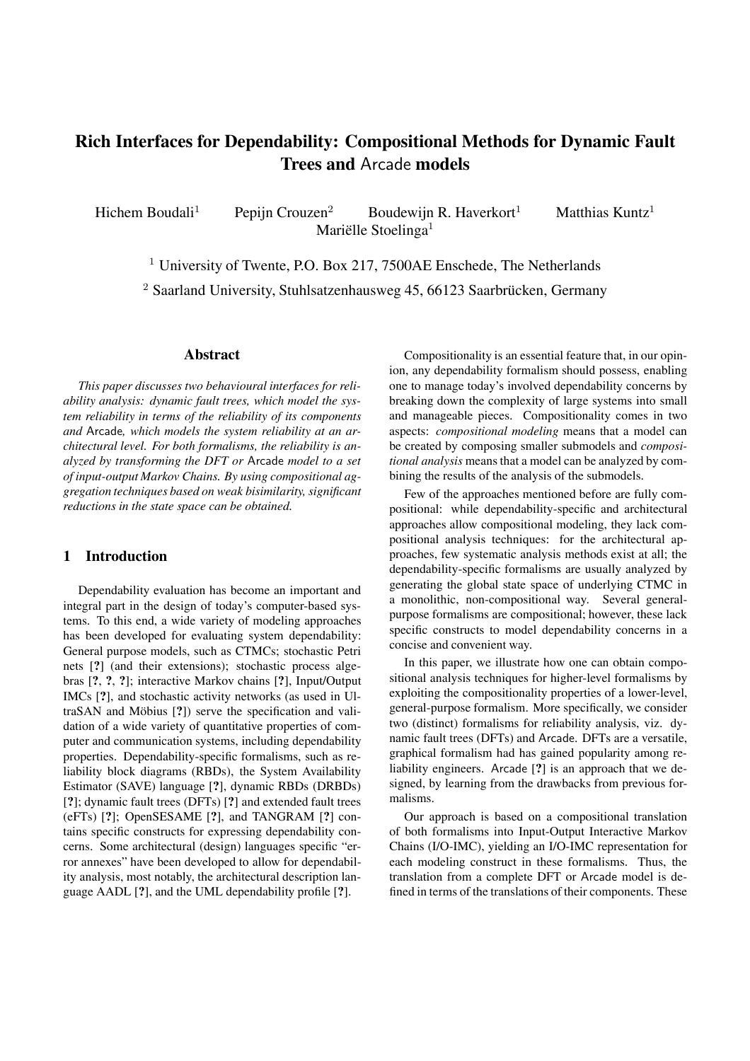# **Rich Interfaces for Dependability: Compositional Methods for Dynamic Fault Trees and** Arcade **models**

Hichem Boudali<sup>1</sup> Pepijn Crouzen<sup>2</sup> Boudewijn R. Haverkort<sup>1</sup> Matthias Kuntz<sup>1</sup> Mariëlle Stoelinga<sup>1</sup>

<sup>1</sup> University of Twente, P.O. Box 217, 7500AE Enschede, The Netherlands

 $2$  Saarland University, Stuhlsatzenhausweg 45, 66123 Saarbrücken, Germany

# **Abstract**

*This paper discusses two behavioural interfaces for reliability analysis: dynamic fault trees, which model the system reliability in terms of the reliability of its components and* Arcade*, which models the system reliability at an architectural level. For both formalisms, the reliability is analyzed by transforming the DFT or* Arcade *model to a set of input-output Markov Chains. By using compositional aggregation techniques based on weak bisimilarity, significant reductions in the state space can be obtained.*

#### **1 Introduction**

Dependability evaluation has become an important and integral part in the design of today's computer-based systems. To this end, a wide variety of modeling approaches has been developed for evaluating system dependability: General purpose models, such as CTMCs; stochastic Petri nets [**?**] (and their extensions); stochastic process algebras [**?**, **?**, **?**]; interactive Markov chains [**?**], Input/Output IMCs [**?**], and stochastic activity networks (as used in UltraSAN and Möbius [?]) serve the specification and validation of a wide variety of quantitative properties of computer and communication systems, including dependability properties. Dependability-specific formalisms, such as reliability block diagrams (RBDs), the System Availability Estimator (SAVE) language [**?**], dynamic RBDs (DRBDs) [**?**]; dynamic fault trees (DFTs) [**?**] and extended fault trees (eFTs) [**?**]; OpenSESAME [**?**], and TANGRAM [**?**] contains specific constructs for expressing dependability concerns. Some architectural (design) languages specific "error annexes" have been developed to allow for dependability analysis, most notably, the architectural description language AADL [**?**], and the UML dependability profile [**?**].

Compositionality is an essential feature that, in our opinion, any dependability formalism should possess, enabling one to manage today's involved dependability concerns by breaking down the complexity of large systems into small and manageable pieces. Compositionality comes in two aspects: *compositional modeling* means that a model can be created by composing smaller submodels and *compositional analysis* means that a model can be analyzed by combining the results of the analysis of the submodels.

Few of the approaches mentioned before are fully compositional: while dependability-specific and architectural approaches allow compositional modeling, they lack compositional analysis techniques: for the architectural approaches, few systematic analysis methods exist at all; the dependability-specific formalisms are usually analyzed by generating the global state space of underlying CTMC in a monolithic, non-compositional way. Several generalpurpose formalisms are compositional; however, these lack specific constructs to model dependability concerns in a concise and convenient way.

In this paper, we illustrate how one can obtain compositional analysis techniques for higher-level formalisms by exploiting the compositionality properties of a lower-level, general-purpose formalism. More specifically, we consider two (distinct) formalisms for reliability analysis, viz. dynamic fault trees (DFTs) and Arcade. DFTs are a versatile, graphical formalism had has gained popularity among reliability engineers. Arcade [**?**] is an approach that we designed, by learning from the drawbacks from previous formalisms.

Our approach is based on a compositional translation of both formalisms into Input-Output Interactive Markov Chains (I/O-IMC), yielding an I/O-IMC representation for each modeling construct in these formalisms. Thus, the translation from a complete DFT or Arcade model is defined in terms of the translations of their components. These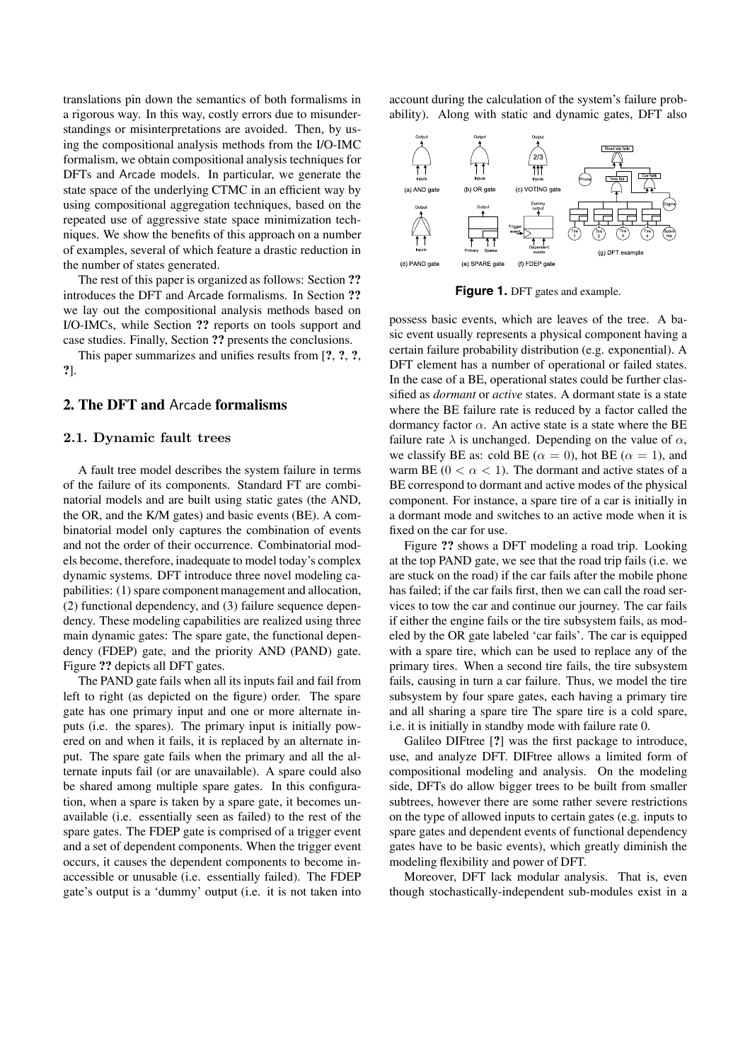translations pin down the semantics of both formalisms in a rigorous way. In this way, costly errors due to misunderstandings or misinterpretations are avoided. Then, by using the compositional analysis methods from the I/O-IMC formalism, we obtain compositional analysis techniques for DFTs and Arcade models. In particular, we generate the state space of the underlying CTMC in an efficient way by using compositional aggregation techniques, based on the repeated use of aggressive state space minimization techniques. We show the benefits of this approach on a number of examples, several of which feature a drastic reduction in the number of states generated.

The rest of this paper is organized as follows: Section **??** introduces the DFT and Arcade formalisms. In Section **??** we lay out the compositional analysis methods based on I/O-IMCs, while Section **??** reports on tools support and case studies. Finally, Section **??** presents the conclusions.

This paper summarizes and unifies results from [**?**, **?**, **?**, **?**].

# **2. The DFT and** Arcade **formalisms**

# **2.1. Dynamic fault trees**

A fault tree model describes the system failure in terms of the failure of its components. Standard FT are combinatorial models and are built using static gates (the AND, the OR, and the K/M gates) and basic events (BE). A combinatorial model only captures the combination of events and not the order of their occurrence. Combinatorial models become, therefore, inadequate to model today's complex dynamic systems. DFT introduce three novel modeling capabilities: (1) spare component management and allocation, (2) functional dependency, and (3) failure sequence dependency. These modeling capabilities are realized using three main dynamic gates: The spare gate, the functional dependency (FDEP) gate, and the priority AND (PAND) gate. Figure **??** depicts all DFT gates.

The PAND gate fails when all its inputs fail and fail from left to right (as depicted on the figure) order. The spare gate has one primary input and one or more alternate inputs (i.e. the spares). The primary input is initially powered on and when it fails, it is replaced by an alternate input. The spare gate fails when the primary and all the alternate inputs fail (or are unavailable). A spare could also be shared among multiple spare gates. In this configuration, when a spare is taken by a spare gate, it becomes unavailable (i.e. essentially seen as failed) to the rest of the spare gates. The FDEP gate is comprised of a trigger event and a set of dependent components. When the trigger event occurs, it causes the dependent components to become inaccessible or unusable (i.e. essentially failed). The FDEP gate's output is a 'dummy' output (i.e. it is not taken into account during the calculation of the system's failure probability). Along with static and dynamic gates, DFT also



**Figure 1.** DFT gates and example.

possess basic events, which are leaves of the tree. A basic event usually represents a physical component having a certain failure probability distribution (e.g. exponential). A DFT element has a number of operational or failed states. In the case of a BE, operational states could be further classified as *dormant* or *active* states. A dormant state is a state where the BE failure rate is reduced by a factor called the dormancy factor  $\alpha$ . An active state is a state where the BE failure rate  $\lambda$  is unchanged. Depending on the value of  $\alpha$ , we classify BE as: cold BE ( $\alpha = 0$ ), hot BE ( $\alpha = 1$ ), and warm BE ( $0 < \alpha < 1$ ). The dormant and active states of a BE correspond to dormant and active modes of the physical component. For instance, a spare tire of a car is initially in a dormant mode and switches to an active mode when it is fixed on the car for use.

Figure **??** shows a DFT modeling a road trip. Looking at the top PAND gate, we see that the road trip fails (i.e. we are stuck on the road) if the car fails after the mobile phone has failed; if the car fails first, then we can call the road services to tow the car and continue our journey. The car fails if either the engine fails or the tire subsystem fails, as modeled by the OR gate labeled 'car fails'. The car is equipped with a spare tire, which can be used to replace any of the primary tires. When a second tire fails, the tire subsystem fails, causing in turn a car failure. Thus, we model the tire subsystem by four spare gates, each having a primary tire and all sharing a spare tire The spare tire is a cold spare, i.e. it is initially in standby mode with failure rate 0.

Galileo DIFtree [**?**] was the first package to introduce, use, and analyze DFT. DIFtree allows a limited form of compositional modeling and analysis. On the modeling side, DFTs do allow bigger trees to be built from smaller subtrees, however there are some rather severe restrictions on the type of allowed inputs to certain gates (e.g. inputs to spare gates and dependent events of functional dependency gates have to be basic events), which greatly diminish the modeling flexibility and power of DFT.

Moreover, DFT lack modular analysis. That is, even though stochastically-independent sub-modules exist in a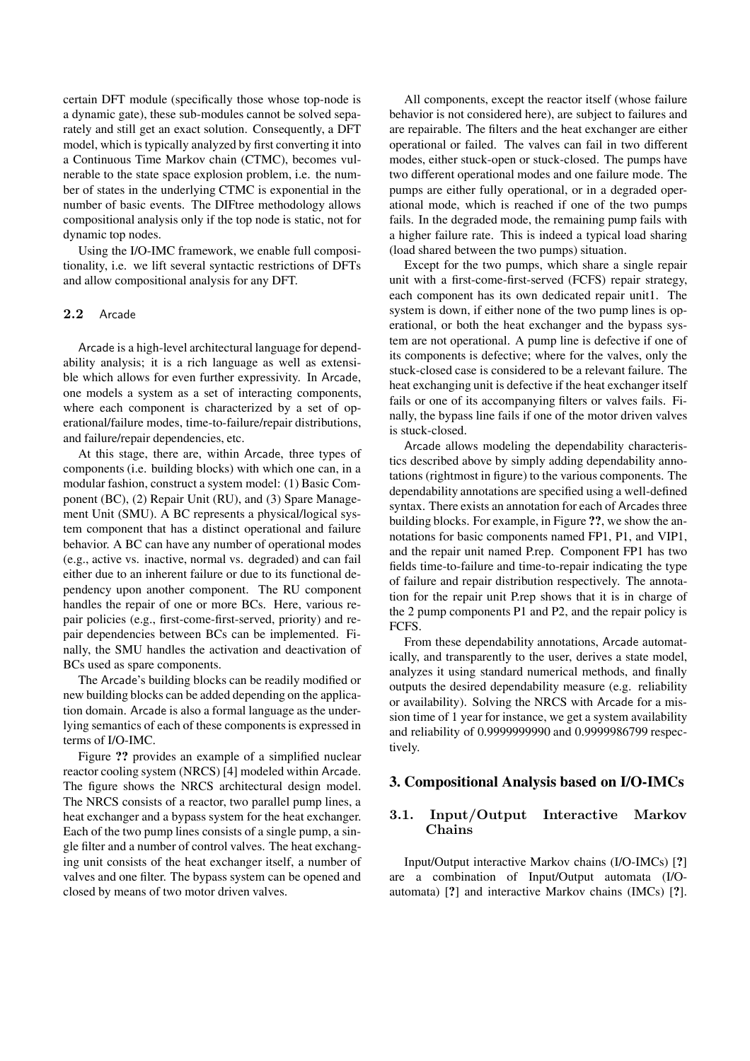certain DFT module (specifically those whose top-node is a dynamic gate), these sub-modules cannot be solved separately and still get an exact solution. Consequently, a DFT model, which is typically analyzed by first converting it into a Continuous Time Markov chain (CTMC), becomes vulnerable to the state space explosion problem, i.e. the number of states in the underlying CTMC is exponential in the number of basic events. The DIFtree methodology allows compositional analysis only if the top node is static, not for dynamic top nodes.

Using the I/O-IMC framework, we enable full compositionality, i.e. we lift several syntactic restrictions of DFTs and allow compositional analysis for any DFT.

#### **2.2** Arcade

Arcade is a high-level architectural language for dependability analysis; it is a rich language as well as extensible which allows for even further expressivity. In Arcade, one models a system as a set of interacting components, where each component is characterized by a set of operational/failure modes, time-to-failure/repair distributions, and failure/repair dependencies, etc.

At this stage, there are, within Arcade, three types of components (i.e. building blocks) with which one can, in a modular fashion, construct a system model: (1) Basic Component (BC), (2) Repair Unit (RU), and (3) Spare Management Unit (SMU). A BC represents a physical/logical system component that has a distinct operational and failure behavior. A BC can have any number of operational modes (e.g., active vs. inactive, normal vs. degraded) and can fail either due to an inherent failure or due to its functional dependency upon another component. The RU component handles the repair of one or more BCs. Here, various repair policies (e.g., first-come-first-served, priority) and repair dependencies between BCs can be implemented. Finally, the SMU handles the activation and deactivation of BCs used as spare components.

The Arcade's building blocks can be readily modified or new building blocks can be added depending on the application domain. Arcade is also a formal language as the underlying semantics of each of these components is expressed in terms of I/O-IMC.

Figure **??** provides an example of a simplified nuclear reactor cooling system (NRCS) [4] modeled within Arcade. The figure shows the NRCS architectural design model. The NRCS consists of a reactor, two parallel pump lines, a heat exchanger and a bypass system for the heat exchanger. Each of the two pump lines consists of a single pump, a single filter and a number of control valves. The heat exchanging unit consists of the heat exchanger itself, a number of valves and one filter. The bypass system can be opened and closed by means of two motor driven valves.

All components, except the reactor itself (whose failure behavior is not considered here), are subject to failures and are repairable. The filters and the heat exchanger are either operational or failed. The valves can fail in two different modes, either stuck-open or stuck-closed. The pumps have two different operational modes and one failure mode. The pumps are either fully operational, or in a degraded operational mode, which is reached if one of the two pumps fails. In the degraded mode, the remaining pump fails with a higher failure rate. This is indeed a typical load sharing (load shared between the two pumps) situation.

Except for the two pumps, which share a single repair unit with a first-come-first-served (FCFS) repair strategy, each component has its own dedicated repair unit1. The system is down, if either none of the two pump lines is operational, or both the heat exchanger and the bypass system are not operational. A pump line is defective if one of its components is defective; where for the valves, only the stuck-closed case is considered to be a relevant failure. The heat exchanging unit is defective if the heat exchanger itself fails or one of its accompanying filters or valves fails. Finally, the bypass line fails if one of the motor driven valves is stuck-closed.

Arcade allows modeling the dependability characteristics described above by simply adding dependability annotations (rightmost in figure) to the various components. The dependability annotations are specified using a well-defined syntax. There exists an annotation for each of Arcades three building blocks. For example, in Figure **??**, we show the annotations for basic components named FP1, P1, and VIP1, and the repair unit named P.rep. Component FP1 has two fields time-to-failure and time-to-repair indicating the type of failure and repair distribution respectively. The annotation for the repair unit P.rep shows that it is in charge of the 2 pump components P1 and P2, and the repair policy is FCFS.

From these dependability annotations, Arcade automatically, and transparently to the user, derives a state model, analyzes it using standard numerical methods, and finally outputs the desired dependability measure (e.g. reliability or availability). Solving the NRCS with Arcade for a mission time of 1 year for instance, we get a system availability and reliability of 0.9999999990 and 0.9999986799 respectively.

#### **3. Compositional Analysis based on I/O-IMCs**

# **3.1. Input/Output Interactive Markov Chains**

Input/Output interactive Markov chains (I/O-IMCs) [**?**] are a combination of Input/Output automata (I/Oautomata) [**?**] and interactive Markov chains (IMCs) [**?**].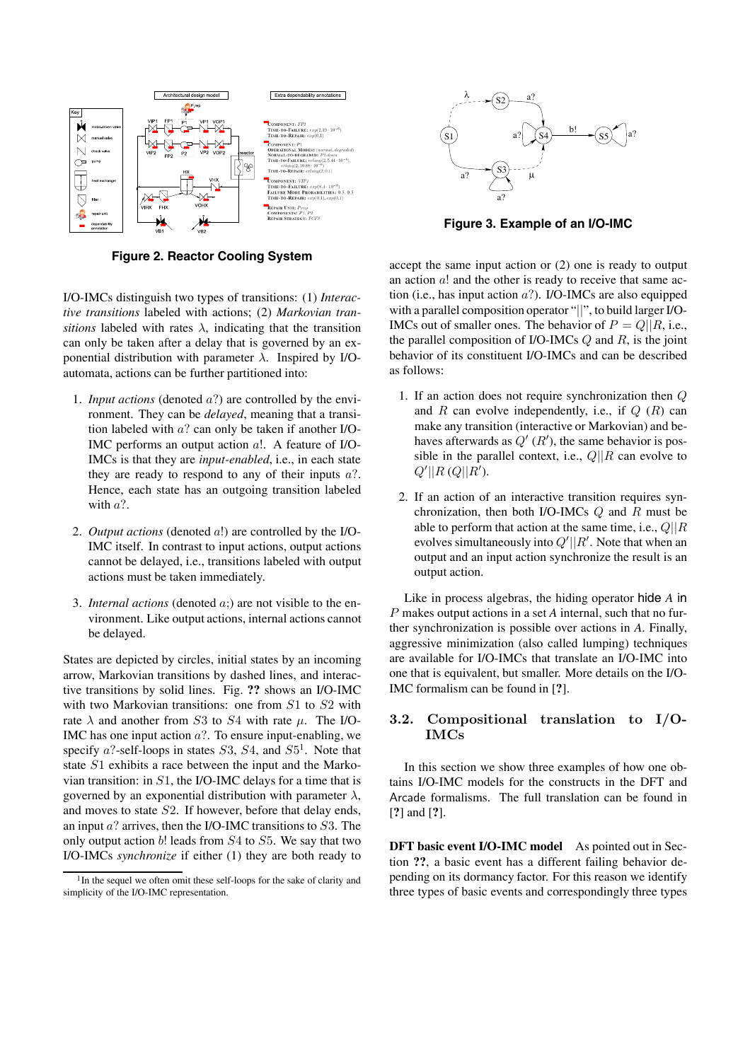

**Figure 2. Reactor Cooling System**

I/O-IMCs distinguish two types of transitions: (1) *Interactive transitions* labeled with actions; (2) *Markovian transitions* labeled with rates  $\lambda$ , indicating that the transition can only be taken after a delay that is governed by an exponential distribution with parameter  $\lambda$ . Inspired by I/Oautomata, actions can be further partitioned into:

- 1. *Input actions* (denoted a?) are controlled by the environment. They can be *delayed*, meaning that a transition labeled with a? can only be taken if another I/O-IMC performs an output action a!. A feature of I/O-IMCs is that they are *input-enabled*, i.e., in each state they are ready to respond to any of their inputs  $a$ ?. Hence, each state has an outgoing transition labeled with  $a$ ?.
- 2. *Output actions* (denoted a!) are controlled by the I/O-IMC itself. In contrast to input actions, output actions cannot be delayed, i.e., transitions labeled with output actions must be taken immediately.
- 3. *Internal actions* (denoted a;) are not visible to the environment. Like output actions, internal actions cannot be delayed.

States are depicted by circles, initial states by an incoming arrow, Markovian transitions by dashed lines, and interactive transitions by solid lines. Fig. **??** shows an I/O-IMC with two Markovian transitions: one from  $S1$  to  $S2$  with rate  $\lambda$  and another from S3 to S4 with rate  $\mu$ . The I/O-IMC has one input action  $a$ ?. To ensure input-enabling, we specify a?-self-loops in states  $S3$ ,  $S4$ , and  $S5<sup>1</sup>$ . Note that state S1 exhibits a race between the input and the Markovian transition: in S1, the I/O-IMC delays for a time that is governed by an exponential distribution with parameter  $\lambda$ , and moves to state S2. If however, before that delay ends, an input a? arrives, then the I/O-IMC transitions to S3. The only output action  $b!$  leads from  $S4$  to  $S5$ . We say that two I/O-IMCs *synchronize* if either (1) they are both ready to



**Figure 3. Example of an I/O-IMC**

accept the same input action or (2) one is ready to output an action a! and the other is ready to receive that same action (i.e., has input action  $a$ ?). I/O-IMCs are also equipped with a parallel composition operator "*||*", to build larger I/O-IMCs out of smaller ones. The behavior of  $P = Q||R$ , i.e., the parallel composition of I/O-IMCs  $Q$  and  $R$ , is the joint behavior of its constituent I/O-IMCs and can be described as follows:

- 1. If an action does not require synchronization then Q and  $R$  can evolve independently, i.e., if  $Q(R)$  can make any transition (interactive or Markovian) and behaves afterwards as  $Q'$  ( $R'$ ), the same behavior is possible in the parallel context, i.e., Q*||*R can evolve to  $Q'||R(Q||R').$
- 2. If an action of an interactive transition requires synchronization, then both I/O-IMCs  $Q$  and  $R$  must be able to perform that action at the same time, i.e., Q*||*R evolves simultaneously into  $Q' || R'$ . Note that when an output and an input action synchronize the result is an output action.

Like in process algebras, the hiding operator hide *A* in P makes output actions in a set *A* internal, such that no further synchronization is possible over actions in *A*. Finally, aggressive minimization (also called lumping) techniques are available for I/O-IMCs that translate an I/O-IMC into one that is equivalent, but smaller. More details on the I/O-IMC formalism can be found in [**?**].

# **3.2. Compositional translation to I/O-IMCs**

In this section we show three examples of how one obtains I/O-IMC models for the constructs in the DFT and Arcade formalisms. The full translation can be found in [**?**] and [**?**].

**DFT basic event I/O-IMC model** As pointed out in Section **??**, a basic event has a different failing behavior depending on its dormancy factor. For this reason we identify three types of basic events and correspondingly three types

 $1$ In the sequel we often omit these self-loops for the sake of clarity and simplicity of the I/O-IMC representation.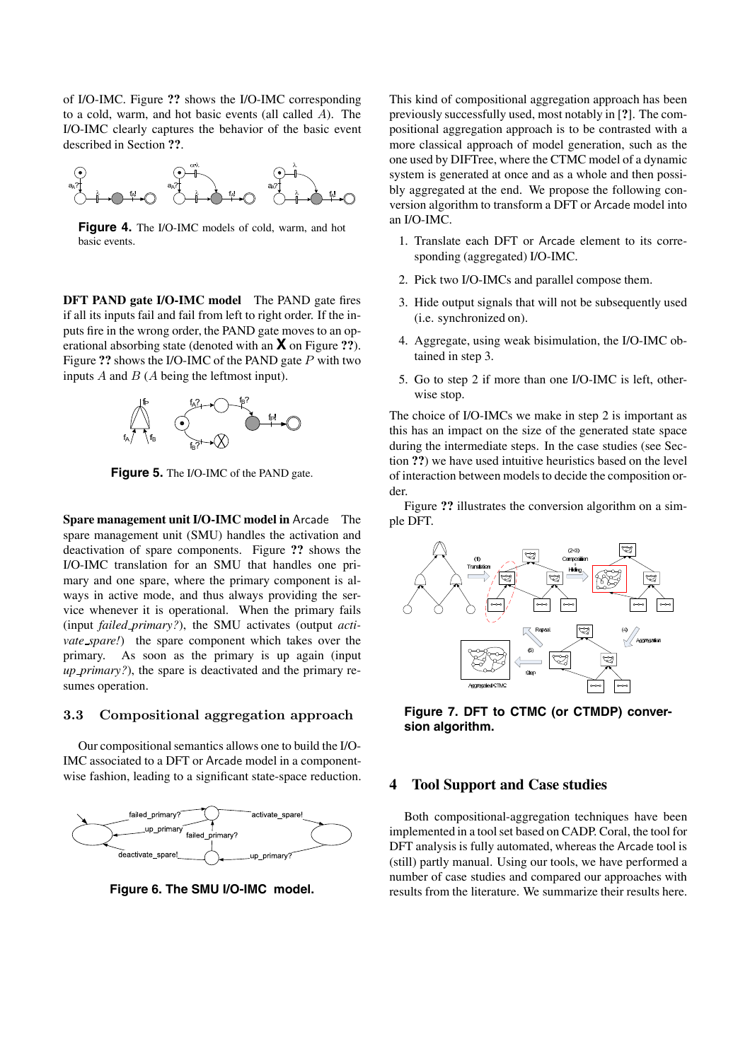of I/O-IMC. Figure **??** shows the I/O-IMC corresponding to a cold, warm, and hot basic events (all called A). The I/O-IMC clearly captures the behavior of the basic event described in Section **??**.



**Figure 4.** The I/O-IMC models of cold, warm, and hot basic events.

**DFT PAND gate I/O-IMC model** The PAND gate fires if all its inputs fail and fail from left to right order. If the inputs fire in the wrong order, the PAND gate moves to an operational absorbing state (denoted with an **X** on Figure **??**). Figure **??** shows the I/O-IMC of the PAND gate P with two inputs  $A$  and  $B$  ( $A$  being the leftmost input).



**Figure 5.** The I/O-IMC of the PAND gate.

**Spare management unit I/O-IMC model in** Arcade The spare management unit (SMU) handles the activation and deactivation of spare components. Figure **??** shows the I/O-IMC translation for an SMU that handles one primary and one spare, where the primary component is always in active mode, and thus always providing the service whenever it is operational. When the primary fails (input *failed primary?*), the SMU activates (output *activate\_spare!*) the spare component which takes over the primary. As soon as the primary is up again (input *up primary?*), the spare is deactivated and the primary resumes operation.

#### **3.3 Compositional aggregation approach**

Our compositional semantics allows one to build the I/O-IMC associated to a DFT or Arcade model in a componentwise fashion, leading to a significant state-space reduction.



**Figure 6. The SMU I/O-IMC model.**

This kind of compositional aggregation approach has been previously successfully used, most notably in [**?**]. The compositional aggregation approach is to be contrasted with a more classical approach of model generation, such as the one used by DIFTree, where the CTMC model of a dynamic system is generated at once and as a whole and then possibly aggregated at the end. We propose the following conversion algorithm to transform a DFT or Arcade model into an I/O-IMC.

- 1. Translate each DFT or Arcade element to its corresponding (aggregated) I/O-IMC.
- 2. Pick two I/O-IMCs and parallel compose them.
- 3. Hide output signals that will not be subsequently used (i.e. synchronized on).
- 4. Aggregate, using weak bisimulation, the I/O-IMC obtained in step 3.
- 5. Go to step 2 if more than one I/O-IMC is left, otherwise stop.

The choice of I/O-IMCs we make in step 2 is important as this has an impact on the size of the generated state space during the intermediate steps. In the case studies (see Section **??**) we have used intuitive heuristics based on the level of interaction between models to decide the composition order.

Figure **??** illustrates the conversion algorithm on a simple DFT.



**Figure 7. DFT to CTMC (or CTMDP) conversion algorithm.**

## **4 Tool Support and Case studies**

Both compositional-aggregation techniques have been implemented in a tool set based on CADP. Coral, the tool for DFT analysis is fully automated, whereas the Arcade tool is (still) partly manual. Using our tools, we have performed a number of case studies and compared our approaches with results from the literature. We summarize their results here.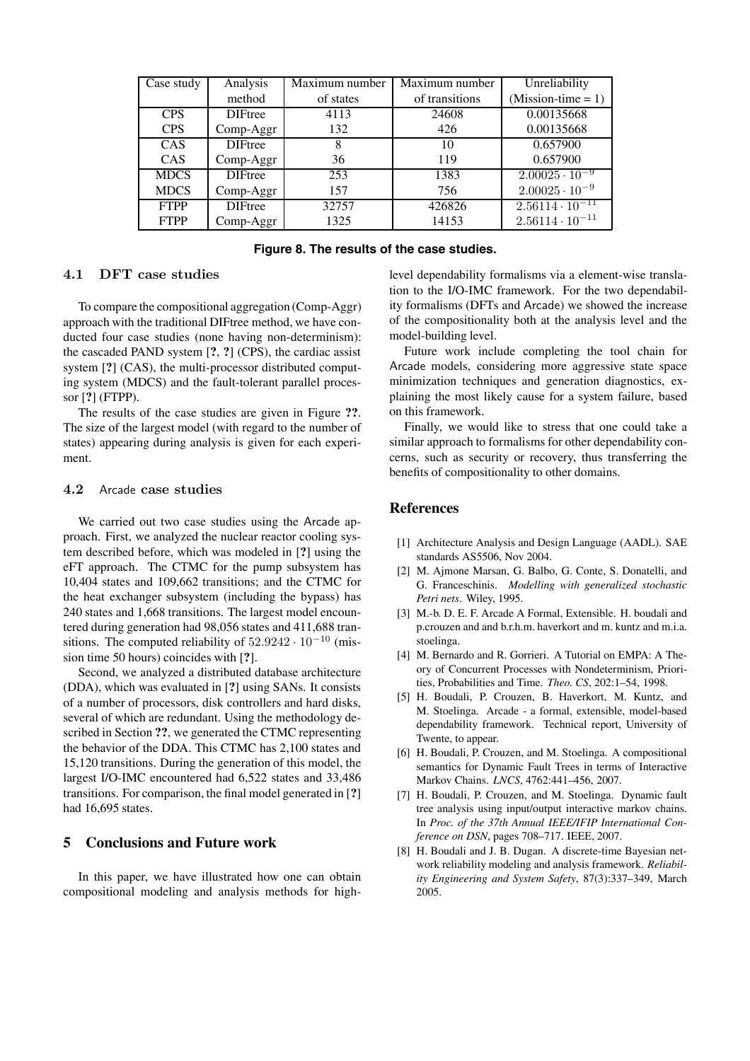| Case study  | Analysis       | Maximum number | Maximum number | Unreliability            |
|-------------|----------------|----------------|----------------|--------------------------|
|             | method         | of states      | of transitions | $(Mission-time = 1)$     |
| <b>CPS</b>  | <b>DIFtree</b> | 4113           | 24608          | 0.00135668               |
| <b>CPS</b>  | Comp-Aggr      | 132            | 426            | 0.00135668               |
| CAS.        | <b>DIFtree</b> | 8              | 10             | 0.657900                 |
| <b>CAS</b>  | Comp-Aggr      | 36             | 119            | 0.657900                 |
| <b>MDCS</b> | <b>DIFtree</b> | 253            | 1383           | $2.00025 \cdot 10^{-9}$  |
| <b>MDCS</b> | Comp-Aggr      | 157            | 756            | $2.00025 \cdot 10^{-9}$  |
| <b>FTPP</b> | <b>DIFtree</b> | 32757          | 426826         | $2.56114 \cdot 10^{-11}$ |
| <b>FTPP</b> | Comp-Aggr      | 1325           | 14153          | $2.56114 \cdot 10^{-11}$ |

### **Figure 8. The results of the case studies.**

## **4.1 DFT case studies**

To compare the compositional aggregation (Comp-Aggr) approach with the traditional DIFtree method, we have conducted four case studies (none having non-determinism): the cascaded PAND system [**?**, **?**] (CPS), the cardiac assist system [**?**] (CAS), the multi-processor distributed computing system (MDCS) and the fault-tolerant parallel processor [**?**] (FTPP).

The results of the case studies are given in Figure **??**. The size of the largest model (with regard to the number of states) appearing during analysis is given for each experiment.

# **4.2** Arcade **case studies**

We carried out two case studies using the Arcade approach. First, we analyzed the nuclear reactor cooling system described before, which was modeled in [**?**] using the eFT approach. The CTMC for the pump subsystem has 10,404 states and 109,662 transitions; and the CTMC for the heat exchanger subsystem (including the bypass) has 240 states and 1,668 transitions. The largest model encountered during generation had 98,056 states and 411,688 transitions. The computed reliability of 52.9242 · 10<sup>-10</sup> (mission time 50 hours) coincides with [**?**].

Second, we analyzed a distributed database architecture (DDA), which was evaluated in [**?**] using SANs. It consists of a number of processors, disk controllers and hard disks, several of which are redundant. Using the methodology described in Section **??**, we generated the CTMC representing the behavior of the DDA. This CTMC has 2,100 states and 15,120 transitions. During the generation of this model, the largest I/O-IMC encountered had 6,522 states and 33,486 transitions. For comparison, the final model generated in [**?**] had 16,695 states.

# **5 Conclusions and Future work**

In this paper, we have illustrated how one can obtain compositional modeling and analysis methods for highlevel dependability formalisms via a element-wise translation to the I/O-IMC framework. For the two dependability formalisms (DFTs and Arcade) we showed the increase of the compositionality both at the analysis level and the model-building level.

Future work include completing the tool chain for Arcade models, considering more aggressive state space minimization techniques and generation diagnostics, explaining the most likely cause for a system failure, based on this framework.

Finally, we would like to stress that one could take a similar approach to formalisms for other dependability concerns, such as security or recovery, thus transferring the benefits of compositionality to other domains.

## **References**

- [1] Architecture Analysis and Design Language (AADL). SAE standards AS5506, Nov 2004.
- [2] M. Ajmone Marsan, G. Balbo, G. Conte, S. Donatelli, and G. Franceschinis. *Modelling with generalized stochastic Petri nets*. Wiley, 1995.
- [3] M.-b. D. E. F. Arcade A Formal, Extensible. H. boudali and p.crouzen and and b.r.h.m. haverkort and m. kuntz and m.i.a. stoelinga.
- [4] M. Bernardo and R. Gorrieri. A Tutorial on EMPA: A Theory of Concurrent Processes with Nondeterminism, Priorities, Probabilities and Time. *Theo. CS*, 202:1–54, 1998.
- [5] H. Boudali, P. Crouzen, B. Haverkort, M. Kuntz, and M. Stoelinga. Arcade - a formal, extensible, model-based dependability framework. Technical report, University of Twente, to appear.
- [6] H. Boudali, P. Crouzen, and M. Stoelinga. A compositional semantics for Dynamic Fault Trees in terms of Interactive Markov Chains. *LNCS*, 4762:441–456, 2007.
- [7] H. Boudali, P. Crouzen, and M. Stoelinga. Dynamic fault tree analysis using input/output interactive markov chains. In *Proc. of the 37th Annual IEEE/IFIP International Conference on DSN*, pages 708–717. IEEE, 2007.
- [8] H. Boudali and J. B. Dugan. A discrete-time Bayesian network reliability modeling and analysis framework. *Reliability Engineering and System Safety*, 87(3):337–349, March 2005.